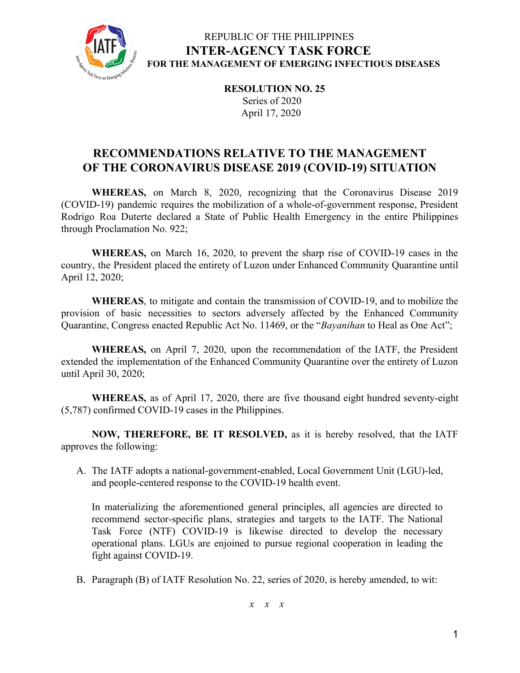

## REPUBLIC OF THE PHILIPPINES **INTER-AGENCY TASK FORCE FOR THE MANAGEMENT OF EMERGING INFECTIOUS DISEASES**

**RESOLUTION NO. 25** Series of 2020 April 17, 2020

# **RECOMMENDATIONS RELATIVE TO THE MANAGEMENT OF THE CORONAVIRUS DISEASE 2019 (COVID-19) SITUATION**

**WHEREAS,** on March 8, 2020, recognizing that the Coronavirus Disease 2019 (COVID-19) pandemic requires the mobilization of a whole-of-government response, President Rodrigo Roa Duterte declared a State of Public Health Emergency in the entire Philippines through Proclamation No. 922;

**WHEREAS,** on March 16, 2020, to prevent the sharp rise of COVID-19 cases in the country, the President placed the entirety of Luzon under Enhanced Community Quarantine until April 12, 2020;

**WHEREAS**, to mitigate and contain the transmission of COVID-19, and to mobilize the provision of basic necessities to sectors adversely affected by the Enhanced Community Quarantine, Congress enacted Republic Act No. 11469, or the "*Bayanihan* to Heal as One Act";

**WHEREAS,** on April 7, 2020, upon the recommendation of the IATF, the President extended the implementation of the Enhanced Community Quarantine over the entirety of Luzon until April 30, 2020;

**WHEREAS,** as of April 17, 2020, there are five thousand eight hundred seventy-eight (5,787) confirmed COVID-19 cases in the Philippines.

**NOW, THEREFORE, BE IT RESOLVED,** as it is hereby resolved, that the IATF approves the following:

A. The IATF adopts a national-government-enabled, Local Government Unit (LGU)-led, and people-centered response to the COVID-19 health event.

In materializing the aforementioned general principles, all agencies are directed to recommend sector-specific plans, strategies and targets to the IATF. The National Task Force (NTF) COVID-19 is likewise directed to develop the necessary operational plans. LGUs are enjoined to pursue regional cooperation in leading the fight against COVID-19.

B. Paragraph (B) of IATF Resolution No. 22, series of 2020, is hereby amended, to wit:

*x x x*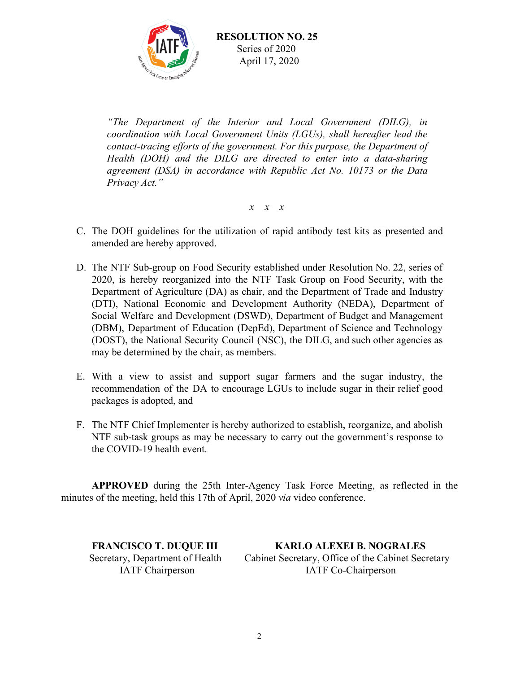

*"The Department of the Interior and Local Government (DILG), in coordination with Local Government Units (LGUs), shall hereafter lead the contact-tracing efforts of the government. For this purpose, the Department of Health (DOH) and the DILG are directed to enter into a data-sharing agreement (DSA) in accordance with Republic Act No. 10173 or the Data Privacy Act."*

*x x x*

- C. The DOH guidelines for the utilization of rapid antibody test kits as presented and amended are hereby approved.
- D. The NTF Sub-group on Food Security established under Resolution No. 22, series of 2020, is hereby reorganized into the NTF Task Group on Food Security, with the Department of Agriculture (DA) as chair, and the Department of Trade and Industry (DTI), National Economic and Development Authority (NEDA), Department of Social Welfare and Development (DSWD), Department of Budget and Management (DBM), Department of Education (DepEd), Department of Science and Technology (DOST), the National Security Council (NSC), the DILG, and such other agencies as may be determined by the chair, as members.
- E. With a view to assist and support sugar farmers and the sugar industry, the recommendation of the DA to encourage LGUs to include sugar in their relief good packages is adopted, and
- F. The NTF Chief Implementer is hereby authorized to establish, reorganize, and abolish NTF sub-task groups as may be necessary to carry out the government's response to the COVID-19 health event.

**APPROVED** during the 25th Inter-Agency Task Force Meeting, as reflected in the minutes of the meeting, held this 17th of April, 2020 *via* video conference.

**FRANCISCO T. DUQUE III KARLO ALEXEI B. NOGRALES** Secretary, Department of Health Cabinet Secretary, Office of the Cabinet Secretary IATF Chairperson IATF Co-Chairperson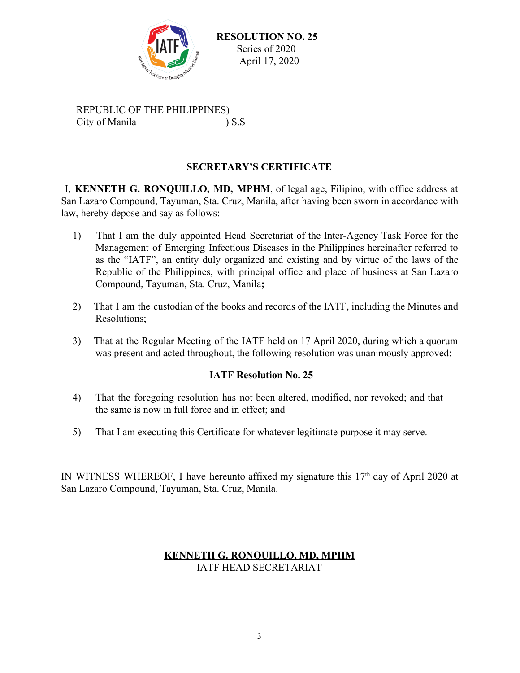

 **RESOLUTION NO. 25** Series of 2020 April 17, 2020

REPUBLIC OF THE PHILIPPINES) City of Manila ) S.S

### **SECRETARY'S CERTIFICATE**

I, **KENNETH G. RONQUILLO, MD, MPHM**, of legal age, Filipino, with office address at San Lazaro Compound, Tayuman, Sta. Cruz, Manila, after having been sworn in accordance with law, hereby depose and say as follows:

- 1) That I am the duly appointed Head Secretariat of the Inter-Agency Task Force for the Management of Emerging Infectious Diseases in the Philippines hereinafter referred to as the "IATF", an entity duly organized and existing and by virtue of the laws of the Republic of the Philippines, with principal office and place of business at San Lazaro Compound, Tayuman, Sta. Cruz, Manila**;**
- 2) That I am the custodian of the books and records of the IATF, including the Minutes and Resolutions;
- 3) That at the Regular Meeting of the IATF held on 17 April 2020, during which a quorum was present and acted throughout, the following resolution was unanimously approved:

#### **IATF Resolution No. 25**

- 4) That the foregoing resolution has not been altered, modified, nor revoked; and that the same is now in full force and in effect; and
- 5) That I am executing this Certificate for whatever legitimate purpose it may serve.

IN WITNESS WHEREOF, I have hereunto affixed my signature this  $17<sup>th</sup>$  day of April 2020 at San Lazaro Compound, Tayuman, Sta. Cruz, Manila.

#### **KENNETH G. RONQUILLO, MD, MPHM** IATF HEAD SECRETARIAT